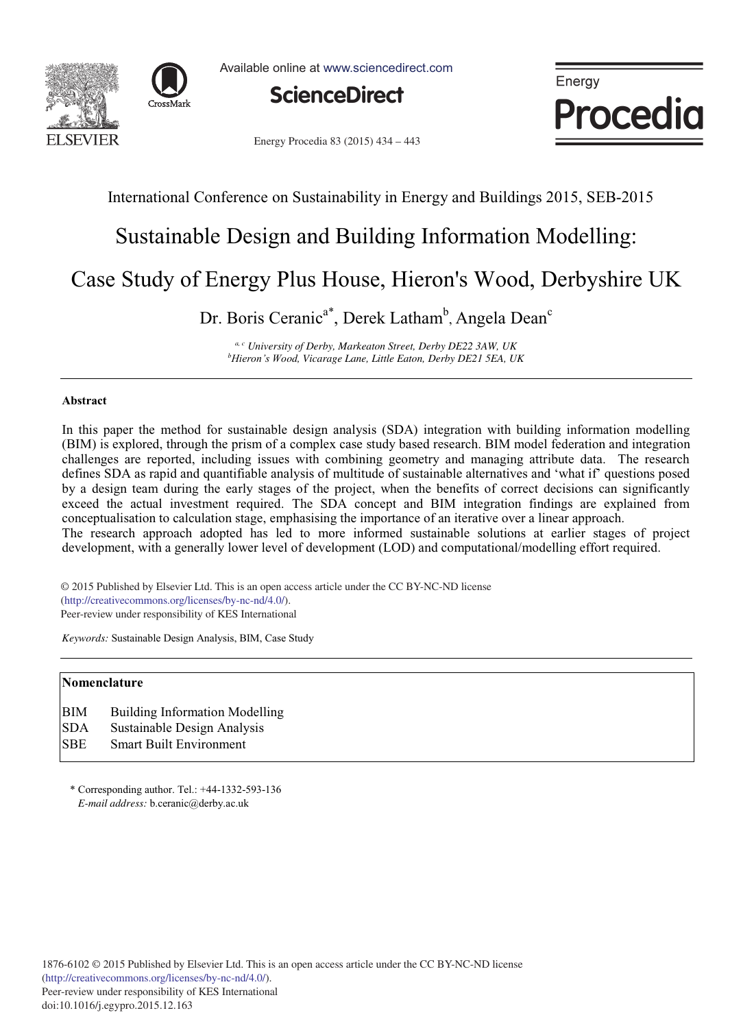



Available online at www.sciencedirect.com



Enerav **Procedia** 

Energy Procedia 83 ( 2015 ) 434 – 443

### International Conference on Sustainability in Energy and Buildings 2015, SEB-2015

## Sustainable Design and Building Information Modelling:

# Case Study of Energy Plus House, Hieron's Wood, Derbyshire UK

Dr. Boris Ceranic<sup>a\*</sup>, Derek Latham<sup>b</sup>, Angela Dean<sup>c</sup>

*a, c University of Derby, Markeaton Street, Derby DE22 3AW, UK <sup>b</sup> Hieron's Wood, Vicarage Lane, Little Eaton, Derby DE21 5EA, UK*

#### **Abstract**

In this paper the method for sustainable design analysis (SDA) integration with building information modelling (BIM) is explored, through the prism of a complex case study based research. BIM model federation and integration challenges are reported, including issues with combining geometry and managing attribute data. The research defines SDA as rapid and quantifiable analysis of multitude of sustainable alternatives and 'what if' questions posed by a design team during the early stages of the project, when the benefits of correct decisions can significantly exceed the actual investment required. The SDA concept and BIM integration findings are explained from conceptualisation to calculation stage, emphasising the importance of an iterative over a linear approach. The research approach adopted has led to more informed sustainable solutions at earlier stages of project development, with a generally lower level of development (LOD) and computational/modelling effort required.

© 2015 The Authors. Published by Elsevier Ltd. (http://creativecommons.org/licenses/by-nc-nd/4.0/). Peer-review under responsibility of KES International. Peer-review under responsibility of KES International© 2015 Published by Elsevier Ltd. This is an open access article under the CC BY-NC-ND license

*Keywords:* Sustainable Design Analysis, BIM, Case Study

#### **Nomenclature**

- BIM Building Information Modelling SDA Sustainable Design Analysis
- SBE Smart Built Environment

\* Corresponding author. Tel.: +44-1332-593-136 *E-mail address:* b.ceranic@derby.ac.uk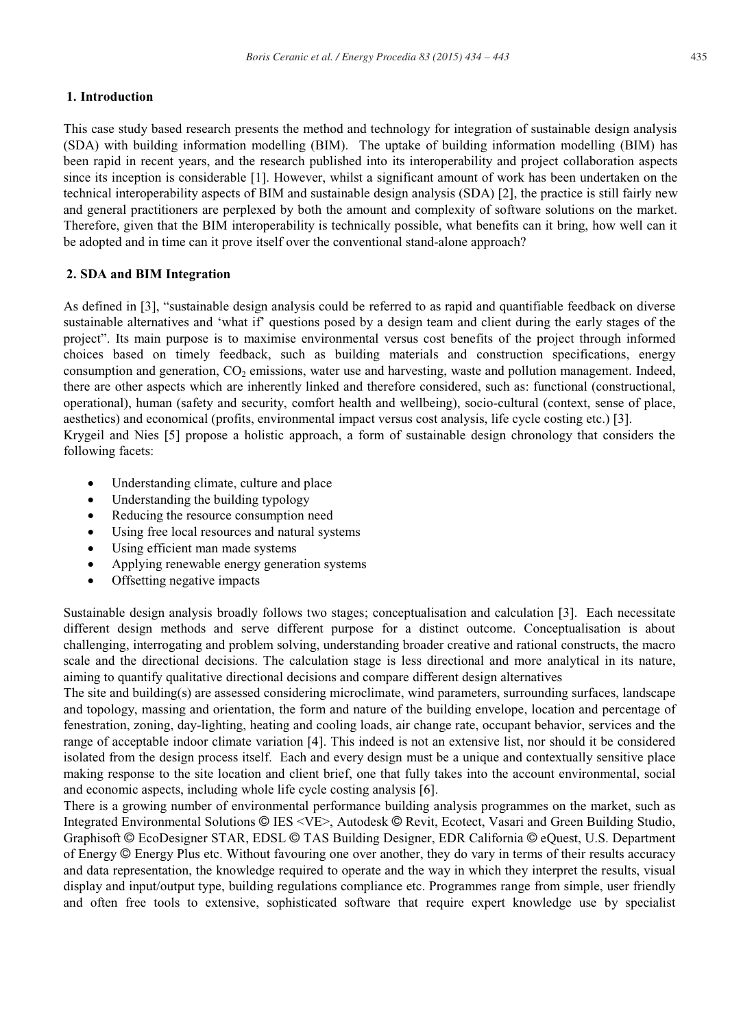### **1. Introduction**

This case study based research presents the method and technology for integration of sustainable design analysis (SDA) with building information modelling (BIM). The uptake of building information modelling (BIM) has been rapid in recent years, and the research published into its interoperability and project collaboration aspects since its inception is considerable [1]. However, whilst a significant amount of work has been undertaken on the technical interoperability aspects of BIM and sustainable design analysis (SDA) [2], the practice is still fairly new and general practitioners are perplexed by both the amount and complexity of software solutions on the market. Therefore, given that the BIM interoperability is technically possible, what benefits can it bring, how well can it be adopted and in time can it prove itself over the conventional stand-alone approach?

### **2. SDA and BIM Integration**

As defined in [3], "sustainable design analysis could be referred to as rapid and quantifiable feedback on diverse sustainable alternatives and 'what if' questions posed by a design team and client during the early stages of the project". Its main purpose is to maximise environmental versus cost benefits of the project through informed choices based on timely feedback, such as building materials and construction specifications, energy consumption and generation, CO<sub>2</sub> emissions, water use and harvesting, waste and pollution management. Indeed, there are other aspects which are inherently linked and therefore considered, such as: functional (constructional, operational), human (safety and security, comfort health and wellbeing), socio-cultural (context, sense of place, aesthetics) and economical (profits, environmental impact versus cost analysis, life cycle costing etc.) [3]. Krygeil and Nies [5] propose a holistic approach, a form of sustainable design chronology that considers the following facets:

- Understanding climate, culture and place
- Understanding the building typology
- Reducing the resource consumption need
- Using free local resources and natural systems
- Using efficient man made systems
- Applying renewable energy generation systems
- Offsetting negative impacts

Sustainable design analysis broadly follows two stages; conceptualisation and calculation [3]. Each necessitate different design methods and serve different purpose for a distinct outcome. Conceptualisation is about challenging, interrogating and problem solving, understanding broader creative and rational constructs, the macro scale and the directional decisions. The calculation stage is less directional and more analytical in its nature, aiming to quantify qualitative directional decisions and compare different design alternatives

The site and building(s) are assessed considering microclimate, wind parameters, surrounding surfaces, landscape and topology, massing and orientation, the form and nature of the building envelope, location and percentage of fenestration, zoning, day-lighting, heating and cooling loads, air change rate, occupant behavior, services and the range of acceptable indoor climate variation [4]. This indeed is not an extensive list, nor should it be considered isolated from the design process itself. Each and every design must be a unique and contextually sensitive place making response to the site location and client brief, one that fully takes into the account environmental, social and economic aspects, including whole life cycle costing analysis [6].

There is a growing number of environmental performance building analysis programmes on the market, such as Integrated Environmental Solutions © IES <VE>, Autodesk © Revit, Ecotect, Vasari and Green Building Studio, Graphisoft © EcoDesigner STAR, EDSL © TAS Building Designer, EDR California © eQuest, U.S. Department of Energy © Energy Plus etc. Without favouring one over another, they do vary in terms of their results accuracy and data representation, the knowledge required to operate and the way in which they interpret the results, visual display and input/output type, building regulations compliance etc. Programmes range from simple, user friendly and often free tools to extensive, sophisticated software that require expert knowledge use by specialist